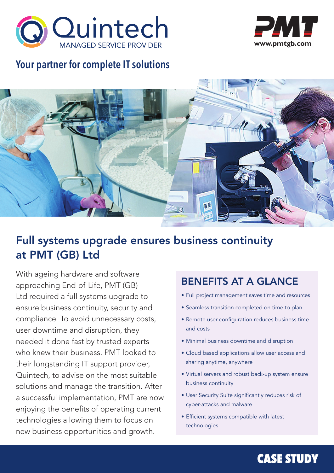



## **Your partner for complete IT solutions**



## Full systems upgrade ensures business continuity at PMT (GB) Ltd

With ageing hardware and software approaching End-of-Life, PMT (GB) Ltd required a full systems upgrade to ensure business continuity, security and compliance. To avoid unnecessary costs, user downtime and disruption, they needed it done fast by trusted experts who knew their business. PMT looked to their longstanding IT support provider, Quintech, to advise on the most suitable solutions and manage the transition. After a successful implementation, PMT are now enjoying the benefits of operating current technologies allowing them to focus on new business opportunities and growth.

### BENEFITS AT A GLANCE

- Full project management saves time and resources
- Seamless transition completed on time to plan
- Remote user configuration reduces business time and costs
- Minimal business downtime and disruption
- Cloud based applications allow user access and sharing anytime, anywhere
- Virtual servers and robust back-up system ensure business continuity
- User Security Suite significantly reduces risk of cyber-attacks and malware
- Efficient systems compatible with latest technologies

# Tel: 01684 88270 Fax: 01684 88270 Fax: 01684 88270 Fax: 01684 88270 Email: sales@quintech.co.uk www.quintech.c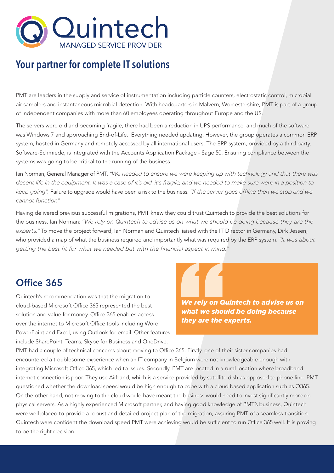

### **Your partner for complete IT solutions**

PMT are leaders in the supply and service of instrumentation including particle counters, electrostatic control, microbial air samplers and instantaneous microbial detection. With headquarters in Malvern, Worcestershire, PMT is part of a group of independent companies with more than 60 employees operating throughout Europe and the US.

The servers were old and becoming fragile, there had been a reduction in UPS performance, and much of the software was Windows 7 and approaching End-of-Life. Everything needed updating. However, the group operates a common ERP system, hosted in Germany and remotely accessed by all international users. The ERP system, provided by a third party, Software-Schmiede, is integrated with the Accounts Application Package - Sage 50. Ensuring compliance between the systems was going to be critical to the running of the business.

Ian Norman, General Manager of PMT, *"We needed to ensure we were keeping up with technology and that there was decent life in the equipment. It was a case of it's old, it's fragile, and we needed to make sure were in a position to keep going".* Failure to upgrade would have been a risk to the business. *"If the server goes offline then we stop and we cannot function".*

Having delivered previous successful migrations, PMT knew they could trust Quintech to provide the best solutions for the business. Ian Norman: *"We rely on Quintech to advise us on what we should be doing because they are the experts."* To move the project forward, Ian Norman and Quintech liaised with the IT Director in Germany, Dirk Jessen, who provided a map of what the business required and importantly what was required by the ERP system. *"It was about getting the best fit for what we needed but with the financial aspect in mind."* 

### Office 365

Quintech's recommendation was that the migration to cloud-based Microsoft Office 365 represented the best solution and value for money. Office 365 enables access over the internet to Microsoft Office tools including Word, PowerPoint and Excel, using Outlook for email. Other features include SharePoint, Teams, Skype for Business and OneDrive.

*We rely on Quintech to advise us on what we should be doing because they are the experts.* 

PMT had a couple of technical concerns about moving to Office 365. Firstly, one of their sister companies had encountered a troublesome experience when an IT company in Belgium were not knowledgeable enough with integrating Microsoft Office 365, which led to issues. Secondly, PMT are located in a rural location where broadband internet connection is poor. They use Airband, which is a service provided by satellite dish as opposed to phone line. PMT questioned whether the download speed would be high enough to cope with a cloud based application such as O365. On the other hand, not moving to the cloud would have meant the business would need to invest significantly more on physical servers. As a highly experienced Microsoft partner, and having good knowledge of PMT's business, Quintech were well placed to provide a robust and detailed project plan of the migration, assuring PMT of a seamless transition. Quintech were confident the download speed PMT were achieving would be sufficient to run Office 365 well. It is proving to be the right decision.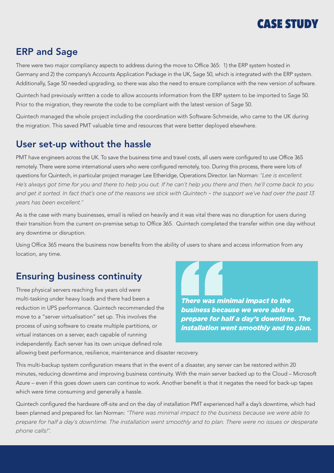

#### ERP and Sage

There were two major compliancy aspects to address during the move to Office 365: 1) the ERP system hosted in Germany and 2) the company's Accounts Application Package in the UK, Sage 50, which is integrated with the ERP system. Additionally, Sage 50 needed upgrading, so there was also the need to ensure compliance with the new version of software.

Quintech had previously written a code to allow accounts information from the ERP system to be imported to Sage 50. Prior to the migration, they rewrote the code to be compliant with the latest version of Sage 50.

Quintech managed the whole project including the coordination with Software-Schmeide, who came to the UK during the migration. This saved PMT valuable time and resources that were better deployed elsewhere.

#### User set-up without the hassle

PMT have engineers across the UK. To save the business time and travel costs, all users were configured to use Office 365 remotely. There were some international users who were configured remotely, too. During this process, there were lots of questions for Quintech, in particular project manager Lee Etheridge, Operations Director. Ian Norman: *"Lee is excellent. He's always got time for you and there to help you out. If he can't help you there and then, he'll come back to you and get it sorted. In fact that's one of the reasons we stick with Quintech – the support we've had over the past 13 years has been excellent."*

As is the case with many businesses, email is relied on heavily and it was vital there was no disruption for users during their transition from the current on-premise setup to Office 365. Quintech completed the transfer within one day without any downtime or disruption.

Using Office 365 means the business now benefits from the ability of users to share and access information from any location, any time.

#### Ensuring business continuity

Three physical servers reaching five years old were multi-tasking under heavy loads and there had been a reduction in UPS performance. Quintech recommended the move to a "server virtualisation" set up. This involves the process of using software to create multiple partitions, or virtual instances on a server, each capable of running independently. Each server has its own unique defined role

*There was minimal impact to the business because we were able to prepare for half a day's downtime. The installation went smoothly and to plan.*

allowing best performance, resilience, maintenance and disaster recovery.

This multi-backup system configuration means that in the event of a disaster, any server can be restored within 20 minutes, reducing downtime and improving business continuity. With the main server backed up to the Cloud – Microsoft Azure – even if this goes down users can continue to work. Another benefit is that it negates the need for back-up tapes which were time consuming and generally a hassle.

Quintech configured the hardware off-site and on the day of installation PMT experienced half a day's downtime, which had been planned and prepared for. Ian Norman: *"There was minimal impact to the business because we were able to prepare for half a day's downtime. The installation went smoothly and to plan. There were no issues or desperate phone calls!".*